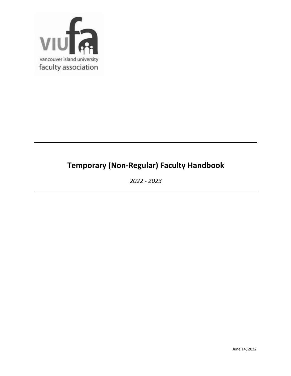

# **Temporary (Non-Regular) Faculty Handbook**

*2022 - 2023*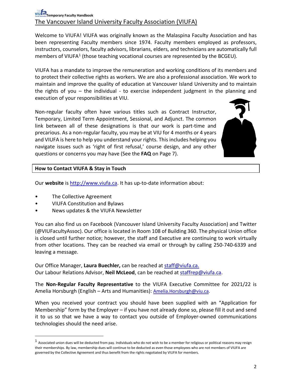## **Temporary Faculty Handbook** The Vancouver Island University Faculty Association (VIUFA)

Welcome to VIUFA! VIUFA was originally known as the Malaspina Faculty Association and has been representing Faculty members since 1974. Faculty members employed as professors, instructors, counselors, faculty advisors, librarians, elders, and technicians are automatically full members of VIUFA<sup>[1](#page-1-0)</sup> (those teaching vocational courses are represented by the BCGEU).

VIUFA has a mandate to improve the remuneration and working conditions of its members and to protect their collective rights as workers. We are also a professional association. We work to maintain and improve the quality of education at Vancouver Island University and to maintain the rights of you – the individual - to exercise independent judgment in the planning and execution of your responsibilities at VIU.

Non-regular faculty often have various titles such as Contract Instructor, Temporary, Limited Term Appointment, Sessional, and Adjunct. The common link between all of these designations is that our work is part-time and precarious. As a non-regular faculty, you may be at VIU for 4 months or 4 years and VIUFA is here to help you understand your rights. This includes helping you navigate issues such as 'right of first refusal,' course design, and any other questions or concerns you may have (See the **FAQ** on Page 7).



## **How to Contact VIUFA & Stay in Touch**

Our **website** is [http://www.viufa.ca.](http://www.viufa.ca/) It has up-to-date information about:

- The Collective Agreement
- VIUFA Constitution and Bylaws
- News updates & the VIUFA Newsletter

You can also find us on Facebook (Vancouver Island University Faculty Association) and Twitter (@VIUFacultyAssoc). Our office is located in Room 108 of Building 360. The physical Union office is closed until further notice; however, the staff and Executive are continuing to work virtually from other locations. They can be reached via email or through by calling 250-740-6339 and leaving a message.

Our Office Manager, **Laura Buechler,** can be reached at [staff@viufa.ca.](mailto:staff@viufa.ca) Our Labour Relations Advisor, **Neil McLeod**, can be reached at [staffrep@viufa.ca.](mailto:staffrep@viufa.ca)

The **Non-Regular Faculty Representative** to the VIUFA Executive Committee for 2021/22 is Amelia Horsburgh (English – Arts and Humanities): [Amelia.Horsburgh@viu.ca.](mailto:Amelia.Horsburgh@viu.ca)

When you received your contract you should have been supplied with an "Application for Membership" form by the Employer – if you have not already done so, please fill it out and send it to us so that we have a way to contact you outside of Employer-owned communications technologies should the need arise.

<span id="page-1-0"></span> $^1$  Associated union dues will be deducted from pay. Individuals who do not wish to be a member for religious or political reasons may resign their memberships. By law, membership dues will continue to be deducted as even those employees who are not members of VIUFA are governed by the Collective Agreement and thus benefit from the rights negotiated by VIUFA for members.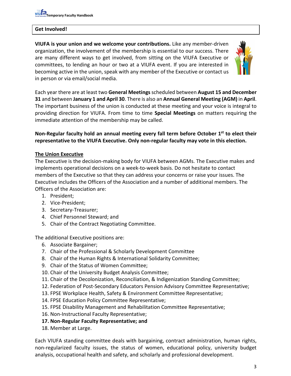#### **Get Involved!**

**VIUFA is your union and we welcome your contributions.** Like any member-driven organization, the involvement of the membership is essential to our success. There are many different ways to get involved, from sitting on the VIUFA Executive or committees, to lending an hour or two at a VIUFA event. If you are interested in becoming active in the union, speak with any member of the Executive or contact us in person or via email/social media.



Each year there are at least two **General Meetings**scheduled between **August 15 and December 31** and between **January 1 and April 30**. There is also an **Annual General Meeting (AGM)** in **April**. The important business of the union is conducted at these meeting and your voice is integral to providing direction for VIUFA. From time to time **Special Meetings** on matters requiring the immediate attention of the membership may be called.

#### **Non-Regular faculty hold an annual meeting every fall term before October 1st to elect their representative to the VIUFA Executive. Only non-regular faculty may vote in this election.**

#### **The Union Executive**

The Executive is the decision-making body for VIUFA between AGMs. The Executive makes and implements operational decisions on a week-to-week basis. Do not hesitate to contact members of the Executive so that they can address your concerns or raise your issues. The Executive includes the Officers of the Association and a number of additional members. The Officers of the Association are:

- 1. President;
- 2. Vice-President;
- 3. Secretary-Treasurer;
- 4. Chief Personnel Steward; and
- 5. Chair of the Contract Negotiating Committee.

The additional Executive positions are:

- 6. Associate Bargainer;
- 7. Chair of the Professional & Scholarly Development Committee
- 8. Chair of the Human Rights & International Solidarity Committee;
- 9. Chair of the Status of Women Committee;
- 10. Chair of the University Budget Analysis Committee;
- 11. Chair of the Decolonization, Reconciliation, & Indigenization Standing Committee;
- 12. Federation of Post-Secondary Educators Pension Advisory Committee Representative;
- 13. FPSE Workplace Health, Safety & Environment Committee Representative;
- 14. FPSE Education Policy Committee Representative;
- 15. FPSE Disability Management and Rehabilitation Committee Representative;
- 16. Non-Instructional Faculty Representative;
- **17. Non-Regular Faculty Representative; and**
- 18. Member at Large.

Each VIUFA standing committee deals with bargaining, contract administration, human rights, non-regularized faculty issues, the status of women, educational policy, university budget analysis, occupational health and safety, and scholarly and professional development.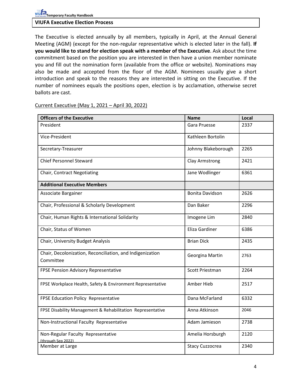#### **VIUFA Executive Election Process**

The Executive is elected annually by all members, typically in April, at the Annual General Meeting (AGM) (except for the non-regular representative which is elected later in the fall). **If you would like to stand for election speak with a member of the Executive**. Ask about the time commitment based on the position you are interested in then have a union member nominate you and fill out the nomination form (available from the office or website). Nominations may also be made and accepted from the floor of the AGM. Nominees usually give a short introduction and speak to the reasons they are interested in sitting on the Executive. If the number of nominees equals the positions open, election is by acclamation, otherwise secret ballots are cast.

| <b>Officers of the Executive</b>                                       | <b>Name</b>            | Local |
|------------------------------------------------------------------------|------------------------|-------|
| President                                                              | Gara Pruesse           | 2337  |
| Vice-President                                                         | Kathleen Bortolin      |       |
| Secretary-Treasurer                                                    | Johnny Blakeborough    | 2265  |
| <b>Chief Personnel Steward</b>                                         | Clay Armstrong         | 2421  |
| Chair, Contract Negotiating                                            | Jane Wodlinger         | 6361  |
| <b>Additional Executive Members</b>                                    |                        |       |
| Associate Bargainer                                                    | <b>Bonita Davidson</b> | 2626  |
| Chair, Professional & Scholarly Development                            | Dan Baker              | 2296  |
| Chair, Human Rights & International Solidarity                         | Imogene Lim            | 2840  |
| Chair, Status of Women                                                 | Eliza Gardiner         | 6386  |
| Chair, University Budget Analysis                                      | <b>Brian Dick</b>      | 2435  |
| Chair, Decolonization, Reconciliation, and Indigenization<br>Committee | Georgina Martin        | 2763  |
| FPSE Pension Advisory Representative                                   | Scott Priestman        | 2264  |
| FPSE Workplace Health, Safety & Environment Representative             | Amber Hieb             | 2517  |
| FPSE Education Policy Representative                                   | Dana McFarland         | 6332  |
| FPSE Disability Management & Rehabilitation Representative             | Anna Atkinson          | 2046  |
| Non-Instructional Faculty Representative                               | Adam Jamieson          | 2738  |
| Non-Regular Faculty Representative<br>(through Sep 2022)               | Amelia Horsburgh       | 2120  |
| Member at Large                                                        | <b>Stacy Cuzzocrea</b> | 2340  |

Current Executive (May 1, 2021 – April 30, 2022)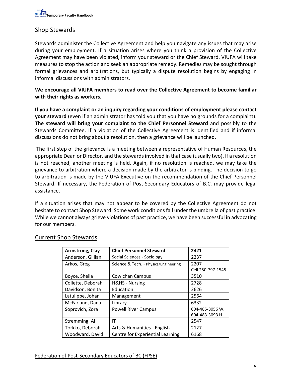## Shop Stewards

Stewards administer the Collective Agreement and help you navigate any issues that may arise during your employment. If a situation arises where you think a provision of the Collective Agreement may have been violated, inform your steward or the Chief Steward. VIUFA will take measures to stop the action and seek an appropriate remedy. Remedies may be sought through formal grievances and arbitrations, but typically a dispute resolution begins by engaging in informal discussions with administrators.

**We encourage all VIUFA members to read over the Collective Agreement to become familiar with their rights as workers.** 

**If you have a complaint or an inquiry regarding your conditions of employment please contact your steward** (even if an administrator has told you that you have no grounds for a complaint). **The steward will bring your complaint to the Chief Personnel Steward** and possibly to the Stewards Committee. If a violation of the Collective Agreement is identified and if informal discussions do not bring about a resolution, then a grievance will be launched.

The first step of the grievance is a meeting between a representative of Human Resources, the appropriate Dean or Director, and the stewards involved in that case (usually two). If a resolution is not reached, another meeting is held. Again, if no resolution is reached, we may take the grievance to arbitration where a decision made by the arbitrator is binding. The decision to go to arbitration is made by the VIUFA Executive on the recommendation of the Chief Personnel Steward. If necessary, the Federation of Post-Secondary Educators of B.C. may provide legal assistance.

If a situation arises that may not appear to be covered by the Collective Agreement do not hesitate to contact Shop Steward. Some work conditions fall under the umbrella of past practice. While we cannot always grieve violations of past practice, we have been successful in advocating for our members.

| Armstrong, Clay   | <b>Chief Personnel Steward</b>           | 2421              |
|-------------------|------------------------------------------|-------------------|
| Anderson, Gillian | <b>Social Sciences - Sociology</b>       | 2237              |
| Arkos, Greg       | Science & Tech. - Physics/Engineering    | 2207              |
|                   |                                          | Cell 250-797-1545 |
| Boyce, Sheila     | <b>Cowichan Campus</b>                   | 3510              |
| Collette, Deborah | <b>H&amp;HS - Nursing</b>                | 2728              |
| Davidson, Bonita  | Education                                | 2626              |
| Latulippe, Johan  | Management                               | 2564              |
| McFarland, Dana   | Library                                  | 6332              |
| Soprovich, Zora   | <b>Powell River Campus</b>               | 604-485-8056 W.   |
|                   |                                          | 604-483-3093 H.   |
| Stremming, Al     | ΙT                                       | 2547              |
| Torkko, Deborah   | Arts & Humanities - English              | 2127              |
| Woodward, David   | Centre for Experiential Learning<br>6168 |                   |

## Current Shop Stewards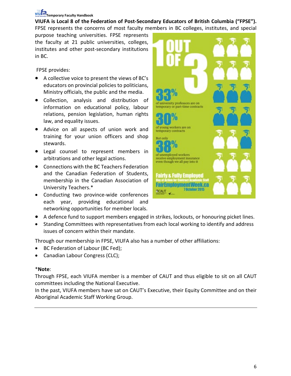## **Temporary Faculty Handbook**

**VIUFA is Local 8 of the Federation of Post-Secondary Educators of British Columbia ("FPSE").** FPSE represents the concerns of most faculty members in BC colleges, institutes, and special

purpose teaching universities. FPSE represents the faculty at 21 public universities, colleges, institutes and other post-secondary institutions in BC.

FPSE provides:

- A collective voice to present the views of BC's educators on provincial policies to politicians, Ministry officials, the public and the media.
- Collection, analysis and distribution of information on educational policy, labour relations, pension legislation, human rights law, and equality issues.
- Advice on all aspects of union work and training for your union officers and shop stewards.
- Legal counsel to represent members in arbitrations and other legal actions.
- Connections with the BC Teachers Federation and the Canadian Federation of Students, membership in the Canadian Association of University Teachers.\*
- Conducting two province-wide conferences each year, providing educational and networking opportunities for member locals.



- A defence fund to support members engaged in strikes, lockouts, or honouring picket lines.
- Standing Committees with representatives from each local working to identify and address issues of concern within their mandate.

Through our membership in FPSE, VIUFA also has a number of other affiliations:

- BC Federation of Labour (BC Fed);
- Canadian Labour Congress (CLC);

## \***Note**:

Through FPSE, each VIUFA member is a member of CAUT and thus eligible to sit on all CAUT committees including the National Executive.

In the past, VIUFA members have sat on CAUT's Executive, their Equity Committee and on their Aboriginal Academic Staff Working Group.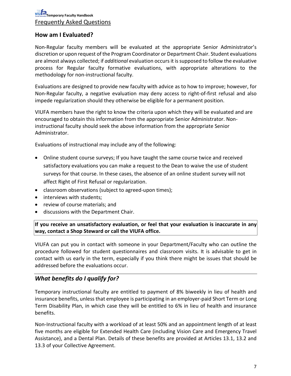## **How am I Evaluated?**

Non-Regular faculty members will be evaluated at the appropriate Senior Administrator's discretion or upon request of the Program Coordinator or Department Chair. Student evaluations are almost always collected; if *additional* evaluation occurs it is supposed to follow the evaluative process for Regular faculty formative evaluations, with appropriate alterations to the methodology for non-instructional faculty.

Evaluations are designed to provide new faculty with advice as to how to improve; however, for Non-Regular faculty, a negative evaluation may deny access to right-of-first refusal and also impede regularization should they otherwise be eligible for a permanent position.

VIUFA members have the right to know the criteria upon which they will be evaluated and are encouraged to obtain this information from the appropriate Senior Administrator. Noninstructional faculty should seek the above information from the appropriate Senior Administrator.

Evaluations of instructional may include any of the following:

- Online student course surveys; If you have taught the same course twice and received satisfactory evaluations you can make a request to the Dean to waive the use of student surveys for that course. In these cases, the absence of an online student survey will not affect Right of First Refusal or regularization.
- classroom observations (subject to agreed-upon times);
- interviews with students;
- review of course materials; and
- discussions with the Department Chair.

**If you receive an unsatisfactory evaluation, or feel that your evaluation is inaccurate in any way, contact a Shop Steward or call the VIUFA office.**

VIUFA can put you in contact with someone in your Department/Faculty who can outline the procedure followed for student questionnaires and classroom visits. It is advisable to get in contact with us early in the term, especially if you think there might be issues that should be addressed before the evaluations occur.

## *What benefits do I qualify for?*

Temporary instructional faculty are entitled to payment of 8% biweekly in lieu of health and insurance benefits, unless that employee is participating in an employer-paid Short Term or Long Term Disability Plan, in which case they will be entitled to 6% in lieu of health and insurance benefits.

Non-Instructional faculty with a workload of at least 50% and an appointment length of at least five months are eligible for Extended Health Care (including Vision Care and Emergency Travel Assistance), and a Dental Plan. Details of these benefits are provided at Articles 13.1, 13.2 and 13.3 of your Collective Agreement.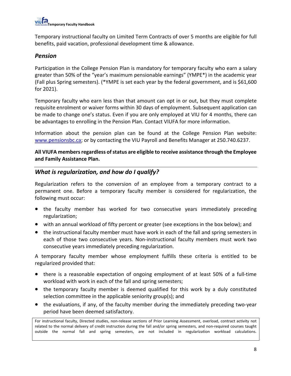

Temporary instructional faculty on Limited Term Contracts of over 5 months are eligible for full benefits, paid vacation, professional development time & allowance.

#### *Pension*

Participation in the College Pension Plan is mandatory for temporary faculty who earn a salary greater than 50% of the "year's maximum pensionable earnings" (YMPE\*) in the academic year (Fall plus Spring semesters). (\*YMPE is set each year by the federal government, and is \$61,600 for 2021).

Temporary faculty who earn less than that amount can opt in or out, but they must complete requisite enrolment or waiver forms within 30 days of employment. Subsequent application can be made to change one's status. Even if you are only employed at VIU for 4 months, there can be advantages to enrolling in the Pension Plan. Contact VIUFA for more information.

Information about the pension plan can be found at the College Pension Plan website: [www.pensionsbc.ca;](http://www.pensionsbc.ca/) or by contacting the VIU Payroll and Benefits Manager at 250.740.6237.

**All VIUFA members regardless of status are eligible to receive assistance through the Employee and Family Assistance Plan.**

#### *What is regularization, and how do I qualify?*

Regularization refers to the conversion of an employee from a temporary contract to a permanent one. Before a temporary faculty member is considered for regularization, the following must occur:

- the faculty member has worked for two consecutive years immediately preceding regularization;
- with an annual workload of fifty percent or greater (see exceptions in the box below); and
- the instructional faculty member must have work in each of the fall and spring semesters in each of those two consecutive years. Non-instructional faculty members must work two consecutive years immediately preceding regularization.

A temporary faculty member whose employment fulfills these criteria is entitled to be regularized provided that:

- there is a reasonable expectation of ongoing employment of at least 50% of a full-time workload with work in each of the fall and spring semesters;
- the temporary faculty member is deemed qualified for this work by a duly constituted selection committee in the applicable seniority group(s); and
- the evaluations, if any, of the faculty member during the immediately preceding two-year period have been deemed satisfactory.

For instructional faculty, Directed studies, non-release sections of Prior Learning Assessment, overload, contract activity not related to the normal delivery of credit instruction during the fall and/or spring semesters, and non-required courses taught outside the normal fall and spring semesters, are not included in regularization workload calculations.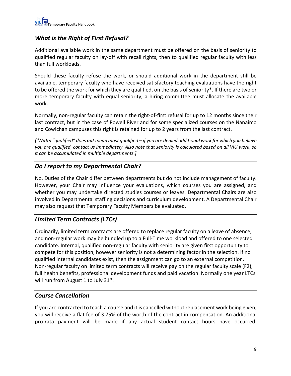## *What is the Right of First Refusal?*

Additional available work in the same department must be offered on the basis of seniority to qualified regular faculty on lay-off with recall rights, then to qualified regular faculty with less than full workloads.

Should these faculty refuse the work, or should additional work in the department still be available, temporary faculty who have received satisfactory teaching evaluations have the right to be offered the work for which they are qualified, on the basis of seniority\*. If there are two or more temporary faculty with equal seniority, a hiring committee must allocate the available work.

Normally, non-regular faculty can retain the right-of-first refusal for up to 12 months since their last contract, but in the case of Powell River and for some specialized courses on the Nanaimo and Cowichan campuses this right is retained for up to 2 years from the last contract.

*[\*Note: "qualified" does not mean most qualified – if you are denied additional work for which you believe you are qualified, contact us immediately. Also note that seniority is calculated based on all VIU work, so it can be accumulated in multiple departments.]*

## *Do I report to my Departmental Chair?*

No. Duties of the Chair differ between departments but do not include management of faculty. However, your Chair may influence your evaluations, which courses you are assigned, and whether you may undertake directed studies courses or leaves. Departmental Chairs are also involved in Departmental staffing decisions and curriculum development. A Departmental Chair may also request that Temporary Faculty Members be evaluated.

## *Limited Term Contracts (LTCs)*

Ordinarily, limited term contracts are offered to replace regular faculty on a leave of absence, and non-regular work may be bundled up to a Full-Time workload and offered to one selected candidate. Internal, qualified non-regular faculty with seniority are given first opportunity to compete for this position, however seniority is not a determining factor in the selection. If no qualified internal candidates exist, then the assignment can go to an external competition. Non-regular faculty on limited term contracts will receive pay on the regular faculty scale (F2), full health benefits, professional development funds and paid vacation. Normally one year LTCs will run from August 1 to July  $31^{st}$ .

## *Course Cancellation*

If you are contracted to teach a course and it is cancelled without replacement work being given, you will receive a flat fee of 3.75% of the worth of the contract in compensation. An additional pro-rata payment will be made if any actual student contact hours have occurred.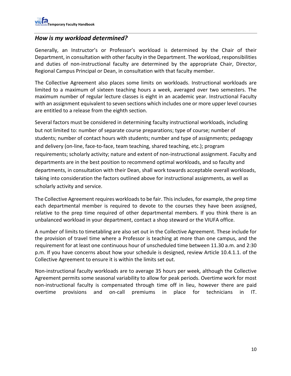## *How is my workload determined?*

Generally, an Instructor's or Professor's workload is determined by the Chair of their Department, in consultation with other faculty in the Department. The workload, responsibilities and duties of non-instructional faculty are determined by the appropriate Chair, Director, Regional Campus Principal or Dean, in consultation with that faculty member.

The Collective Agreement also places some limits on workloads. Instructional workloads are limited to a maximum of sixteen teaching hours a week, averaged over two semesters. The maximum number of regular lecture classes is eight in an academic year. Instructional Faculty with an assignment equivalent to seven sections which includes one or more upper level courses are entitled to a release from the eighth section.

Several factors must be considered in determining faculty instructional workloads, including but not limited to: number of separate course preparations; type of course; number of students; number of contact hours with students; number and type of assignments; pedagogy and delivery (on-line, face-to-face, team teaching, shared teaching, etc.); program requirements; scholarly activity; nature and extent of non-instructional assignment. Faculty and departments are in the best position to recommend optimal workloads, and so faculty and departments, in consultation with their Dean, shall work towards acceptable overall workloads, taking into consideration the factors outlined above for instructional assignments, as well as scholarly activity and service.

The Collective Agreement requires workloads to be fair. This includes, for example, the prep time each departmental member is required to devote to the courses they have been assigned, relative to the prep time required of other departmental members. If you think there is an unbalanced workload in your department, contact a shop steward or the VIUFA office.

A number of limits to timetabling are also set out in the Collective Agreement. These include for the provision of travel time where a Professor is teaching at more than one campus, and the requirement for at least one continuous hour of unscheduled time between 11.30 a.m. and 2:30 p.m. If you have concerns about how your schedule is designed, review Article 10.4.1.1. of the Collective Agreement to ensure it is within the limits set out.

Non-instructional faculty workloads are to average 35 hours per week, although the Collective Agreement permits some seasonal variability to allow for peak periods. Overtime work for most non-instructional faculty is compensated through time off in lieu, however there are paid overtime provisions and on-call premiums in place for technicians in IT.